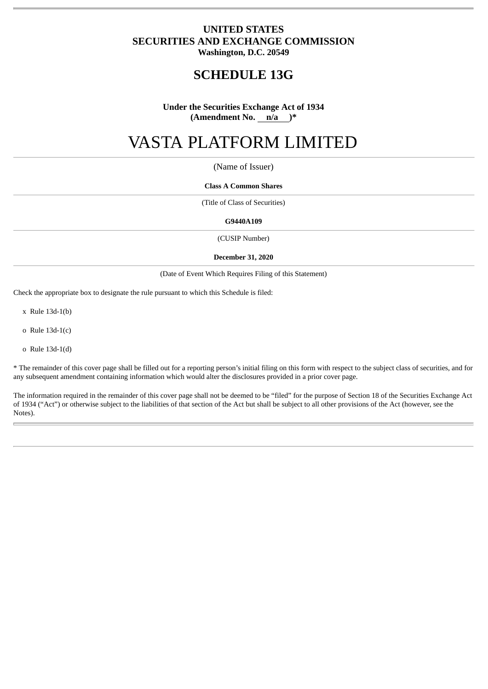# **UNITED STATES SECURITIES AND EXCHANGE COMMISSION Washington, D.C. 20549**

# **SCHEDULE 13G**

# **Under the Securities Exchange Act of 1934 (Amendment No. n/a )\***

# VASTA PLATFORM LIMITED

# (Name of Issuer)

#### **Class A Common Shares**

(Title of Class of Securities)

#### **G9440A109**

(CUSIP Number)

#### **December 31, 2020**

(Date of Event Which Requires Filing of this Statement)

Check the appropriate box to designate the rule pursuant to which this Schedule is filed:

x Rule 13d-1(b)

o Rule 13d-1(c)

o Rule 13d-1(d)

\* The remainder of this cover page shall be filled out for a reporting person's initial filing on this form with respect to the subject class of securities, and for any subsequent amendment containing information which would alter the disclosures provided in a prior cover page.

The information required in the remainder of this cover page shall not be deemed to be "filed" for the purpose of Section 18 of the Securities Exchange Act of 1934 ("Act") or otherwise subject to the liabilities of that section of the Act but shall be subject to all other provisions of the Act (however, see the Notes).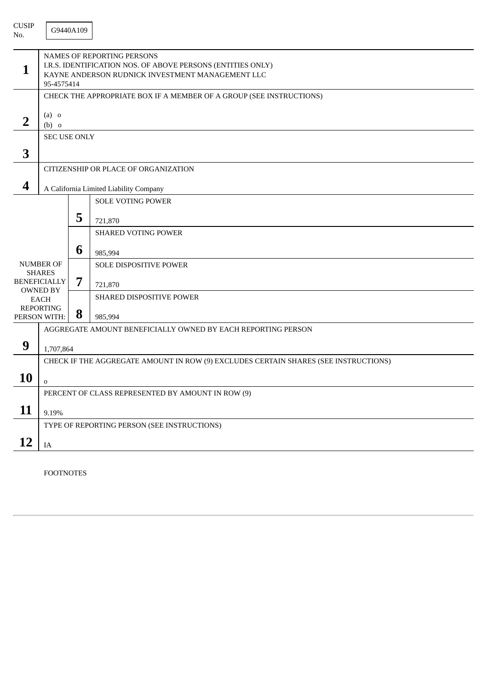| <b>CUSIP</b><br>No. |                                                                                                                                                             | G9440A109 |                                                                                     |  |  |  |
|---------------------|-------------------------------------------------------------------------------------------------------------------------------------------------------------|-----------|-------------------------------------------------------------------------------------|--|--|--|
| $\mathbf{1}$        | NAMES OF REPORTING PERSONS<br>I.R.S. IDENTIFICATION NOS. OF ABOVE PERSONS (ENTITIES ONLY)<br>KAYNE ANDERSON RUDNICK INVESTMENT MANAGEMENT LLC<br>95-4575414 |           |                                                                                     |  |  |  |
|                     |                                                                                                                                                             |           | CHECK THE APPROPRIATE BOX IF A MEMBER OF A GROUP (SEE INSTRUCTIONS)                 |  |  |  |
| $\overline{2}$      | $(a)$ o<br>$(b)$ o                                                                                                                                          |           |                                                                                     |  |  |  |
|                     | <b>SEC USE ONLY</b>                                                                                                                                         |           |                                                                                     |  |  |  |
| 3                   |                                                                                                                                                             |           |                                                                                     |  |  |  |
|                     |                                                                                                                                                             |           | CITIZENSHIP OR PLACE OF ORGANIZATION                                                |  |  |  |
| 4                   | A California Limited Liability Company                                                                                                                      |           |                                                                                     |  |  |  |
|                     |                                                                                                                                                             |           | <b>SOLE VOTING POWER</b>                                                            |  |  |  |
|                     |                                                                                                                                                             | 5         |                                                                                     |  |  |  |
|                     |                                                                                                                                                             |           | 721,870                                                                             |  |  |  |
|                     |                                                                                                                                                             |           | <b>SHARED VOTING POWER</b>                                                          |  |  |  |
|                     |                                                                                                                                                             | 6         | 985,994                                                                             |  |  |  |
|                     | <b>NUMBER OF</b><br><b>SHARES</b>                                                                                                                           |           | SOLE DISPOSITIVE POWER                                                              |  |  |  |
|                     | <b>BENEFICIALLY</b>                                                                                                                                         | 7         | 721,870                                                                             |  |  |  |
|                     | <b>OWNED BY</b><br><b>EACH</b>                                                                                                                              |           | SHARED DISPOSITIVE POWER                                                            |  |  |  |
|                     | <b>REPORTING</b><br>PERSON WITH:                                                                                                                            | 8         | 985,994                                                                             |  |  |  |
|                     |                                                                                                                                                             |           | AGGREGATE AMOUNT BENEFICIALLY OWNED BY EACH REPORTING PERSON                        |  |  |  |
| 9                   |                                                                                                                                                             |           |                                                                                     |  |  |  |
|                     | 1,707,864                                                                                                                                                   |           |                                                                                     |  |  |  |
|                     |                                                                                                                                                             |           | CHECK IF THE AGGREGATE AMOUNT IN ROW (9) EXCLUDES CERTAIN SHARES (SEE INSTRUCTIONS) |  |  |  |
| 10                  | $\mathbf 0$                                                                                                                                                 |           |                                                                                     |  |  |  |
|                     |                                                                                                                                                             |           | PERCENT OF CLASS REPRESENTED BY AMOUNT IN ROW (9)                                   |  |  |  |
| 11                  | 9.19%                                                                                                                                                       |           |                                                                                     |  |  |  |
|                     | TYPE OF REPORTING PERSON (SEE INSTRUCTIONS)                                                                                                                 |           |                                                                                     |  |  |  |
| 12                  | $\rm IA$                                                                                                                                                    |           |                                                                                     |  |  |  |

FOOTNOTES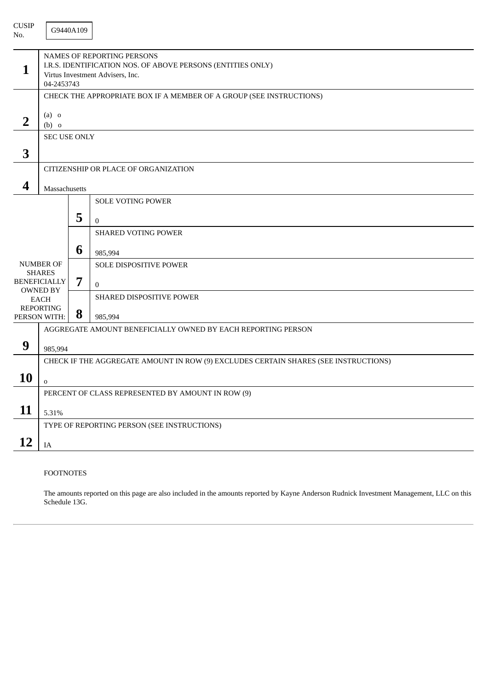| <b>CUSIP</b><br>No. |                                                                                                                                                    | G9440A109 |                                                                                     |  |  |  |  |
|---------------------|----------------------------------------------------------------------------------------------------------------------------------------------------|-----------|-------------------------------------------------------------------------------------|--|--|--|--|
| 1                   | <b>NAMES OF REPORTING PERSONS</b><br>I.R.S. IDENTIFICATION NOS. OF ABOVE PERSONS (ENTITIES ONLY)<br>Virtus Investment Advisers, Inc.<br>04-2453743 |           |                                                                                     |  |  |  |  |
|                     | CHECK THE APPROPRIATE BOX IF A MEMBER OF A GROUP (SEE INSTRUCTIONS)                                                                                |           |                                                                                     |  |  |  |  |
| $\overline{2}$      | $(a)$ o<br>$(b)$ o                                                                                                                                 |           |                                                                                     |  |  |  |  |
|                     | <b>SEC USE ONLY</b>                                                                                                                                |           |                                                                                     |  |  |  |  |
| 3                   |                                                                                                                                                    |           |                                                                                     |  |  |  |  |
|                     |                                                                                                                                                    |           | CITIZENSHIP OR PLACE OF ORGANIZATION                                                |  |  |  |  |
| 4                   | Massachusetts                                                                                                                                      |           |                                                                                     |  |  |  |  |
|                     |                                                                                                                                                    |           | <b>SOLE VOTING POWER</b>                                                            |  |  |  |  |
|                     |                                                                                                                                                    | 5         |                                                                                     |  |  |  |  |
|                     |                                                                                                                                                    |           | $\overline{0}$                                                                      |  |  |  |  |
|                     |                                                                                                                                                    |           | <b>SHARED VOTING POWER</b>                                                          |  |  |  |  |
|                     |                                                                                                                                                    | 6         | 985,994                                                                             |  |  |  |  |
|                     | <b>NUMBER OF</b><br><b>SHARES</b>                                                                                                                  |           | <b>SOLE DISPOSITIVE POWER</b>                                                       |  |  |  |  |
|                     | <b>BENEFICIALLY</b>                                                                                                                                | 7         | $\overline{0}$                                                                      |  |  |  |  |
|                     | <b>OWNED BY</b><br><b>EACH</b>                                                                                                                     |           | SHARED DISPOSITIVE POWER                                                            |  |  |  |  |
|                     | <b>REPORTING</b><br>PERSON WITH:                                                                                                                   | 8         | 985,994                                                                             |  |  |  |  |
|                     |                                                                                                                                                    |           | AGGREGATE AMOUNT BENEFICIALLY OWNED BY EACH REPORTING PERSON                        |  |  |  |  |
| 9                   |                                                                                                                                                    |           |                                                                                     |  |  |  |  |
|                     | 985,994                                                                                                                                            |           |                                                                                     |  |  |  |  |
|                     |                                                                                                                                                    |           | CHECK IF THE AGGREGATE AMOUNT IN ROW (9) EXCLUDES CERTAIN SHARES (SEE INSTRUCTIONS) |  |  |  |  |
| 10                  | $\mathbf 0$                                                                                                                                        |           |                                                                                     |  |  |  |  |
|                     | PERCENT OF CLASS REPRESENTED BY AMOUNT IN ROW (9)                                                                                                  |           |                                                                                     |  |  |  |  |
| 11                  | 5.31%                                                                                                                                              |           |                                                                                     |  |  |  |  |
|                     |                                                                                                                                                    |           | TYPE OF REPORTING PERSON (SEE INSTRUCTIONS)                                         |  |  |  |  |
| 12                  | $\rm IA$                                                                                                                                           |           |                                                                                     |  |  |  |  |
|                     |                                                                                                                                                    |           |                                                                                     |  |  |  |  |

# FOOTNOTES

The amounts reported on this page are also included in the amounts reported by Kayne Anderson Rudnick Investment Management, LLC on this Schedule 13G.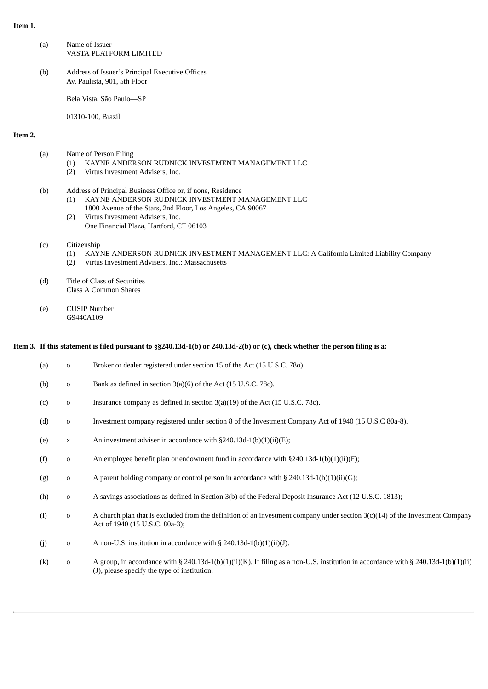#### **Item 1.**

| (a) | Name of Issuer<br>VASTA PLATFORM LIMITED                                        |
|-----|---------------------------------------------------------------------------------|
| (b) | Address of Issuer's Principal Executive Offices<br>Av. Paulista, 901, 5th Floor |
|     | Bela Vista, São Paulo—SP                                                        |

01310-100, Brazil

#### **Item 2.**

| (a) | Name of Person Filing                                |
|-----|------------------------------------------------------|
|     | (1) KAYNE ANDERSON RUDNICK INVESTMENT MANAGEMENT LLC |

- (2) Virtus Investment Advisers, Inc.
- (b) Address of Principal Business Office or, if none, Residence
	- (1) KAYNE ANDERSON RUDNICK INVESTMENT MANAGEMENT LLC
	- 1800 Avenue of the Stars, 2nd Floor, Los Angeles, CA 90067 (2) Virtus Investment Advisers, Inc.
	- One Financial Plaza, Hartford, CT 06103
- (c) Citizenship
	- (1) KAYNE ANDERSON RUDNICK INVESTMENT MANAGEMENT LLC: A California Limited Liability Company
	- (2) Virtus Investment Advisers, Inc.: Massachusetts
- (d) Title of Class of Securities Class A Common Shares
- (e) CUSIP Number G9440A109

#### Item 3. If this statement is filed pursuant to §§240.13d-1(b) or 240.13d-2(b) or (c), check whether the person filing is a:

| (a) | $\mathbf 0$ | Broker or dealer registered under section 15 of the Act (15 U.S.C. 780).                                                                                                           |
|-----|-------------|------------------------------------------------------------------------------------------------------------------------------------------------------------------------------------|
| (b) | $\mathbf 0$ | Bank as defined in section $3(a)(6)$ of the Act (15 U.S.C. 78c).                                                                                                                   |
| (c) | $\mathbf 0$ | Insurance company as defined in section $3(a)(19)$ of the Act (15 U.S.C. 78c).                                                                                                     |
| (d) | $\mathbf 0$ | Investment company registered under section 8 of the Investment Company Act of 1940 (15 U.S.C 80a-8).                                                                              |
| (e) | $\mathbf X$ | An investment adviser in accordance with $\S240.13d-1(b)(1)(ii)(E)$ ;                                                                                                              |
| (f) | $\mathbf 0$ | An employee benefit plan or endowment fund in accordance with $\S 240.13d-1(b)(1)(ii)(F)$ ;                                                                                        |
| (g) | $\mathbf 0$ | A parent holding company or control person in accordance with § 240.13d-1(b)(1)(ii)(G);                                                                                            |
| (h) | $\mathbf 0$ | A savings associations as defined in Section 3(b) of the Federal Deposit Insurance Act (12 U.S.C. 1813);                                                                           |
| (i) | $\mathbf 0$ | A church plan that is excluded from the definition of an investment company under section $3(c)(14)$ of the Investment Company<br>Act of 1940 (15 U.S.C. 80a-3);                   |
| (i) | $\mathbf 0$ | A non-U.S. institution in accordance with $\S$ 240.13d-1(b)(1)(ii)(J).                                                                                                             |
| (k) | $\mathbf 0$ | A group, in accordance with § 240.13d-1(b)(1)(ii)(K). If filing as a non-U.S. institution in accordance with § 240.13d-1(b)(1)(ii)<br>(J), please specify the type of institution: |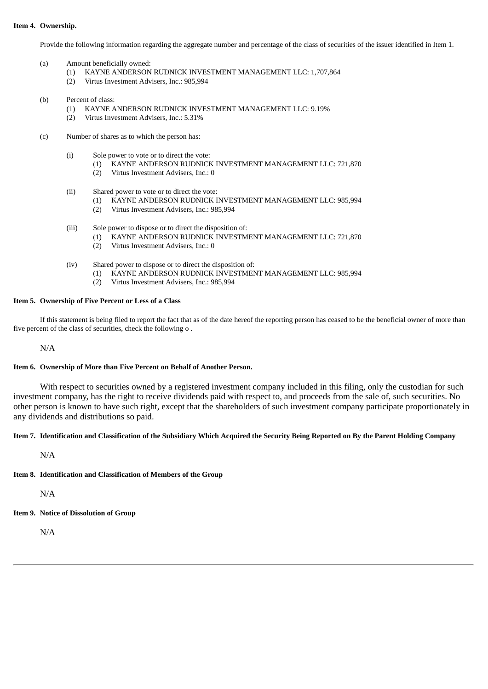#### **Item 4. Ownership.**

Provide the following information regarding the aggregate number and percentage of the class of securities of the issuer identified in Item 1.

- (a) Amount beneficially owned:
	- (1) KAYNE ANDERSON RUDNICK INVESTMENT MANAGEMENT LLC: 1,707,864
	- (2) Virtus Investment Advisers, Inc.: 985,994
- (b) Percent of class:
	- (1) KAYNE ANDERSON RUDNICK INVESTMENT MANAGEMENT LLC: 9.19%
		- (2) Virtus Investment Advisers, Inc.: 5.31%
- (c) Number of shares as to which the person has:
	- (i) Sole power to vote or to direct the vote:
		- (1) KAYNE ANDERSON RUDNICK INVESTMENT MANAGEMENT LLC: 721,870
		- (2) Virtus Investment Advisers, Inc.: 0
	- (ii) Shared power to vote or to direct the vote:
		- (1) KAYNE ANDERSON RUDNICK INVESTMENT MANAGEMENT LLC: 985,994
		- (2) Virtus Investment Advisers, Inc.: 985,994
	- (iii) Sole power to dispose or to direct the disposition of:
		- (1) KAYNE ANDERSON RUDNICK INVESTMENT MANAGEMENT LLC: 721,870
		- (2) Virtus Investment Advisers, Inc.: 0
	- (iv) Shared power to dispose or to direct the disposition of:
		- (1) KAYNE ANDERSON RUDNICK INVESTMENT MANAGEMENT LLC: 985,994
		- (2) Virtus Investment Advisers, Inc.: 985,994

## **Item 5. Ownership of Five Percent or Less of a Class**

If this statement is being filed to report the fact that as of the date hereof the reporting person has ceased to be the beneficial owner of more than five percent of the class of securities, check the following o .

N/A

#### **Item 6. Ownership of More than Five Percent on Behalf of Another Person.**

With respect to securities owned by a registered investment company included in this filing, only the custodian for such investment company, has the right to receive dividends paid with respect to, and proceeds from the sale of, such securities. No other person is known to have such right, except that the shareholders of such investment company participate proportionately in any dividends and distributions so paid.

#### Item 7. Identification and Classification of the Subsidiary Which Acquired the Security Being Reported on By the Parent Holding Company

N/A

# **Item 8. Identification and Classification of Members of the Group**

N/A

**Item 9. Notice of Dissolution of Group**

N/A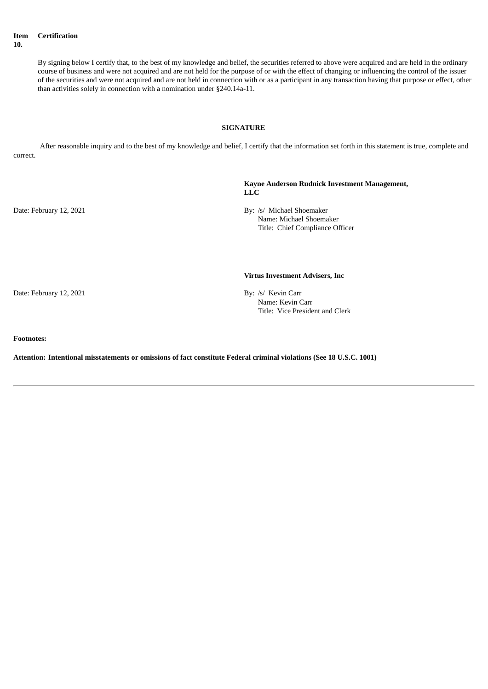**Item 10. Certification**

> By signing below I certify that, to the best of my knowledge and belief, the securities referred to above were acquired and are held in the ordinary course of business and were not acquired and are not held for the purpose of or with the effect of changing or influencing the control of the issuer of the securities and were not acquired and are not held in connection with or as a participant in any transaction having that purpose or effect, other than activities solely in connection with a nomination under §240.14a-11.

#### **SIGNATURE**

After reasonable inquiry and to the best of my knowledge and belief, I certify that the information set forth in this statement is true, complete and correct.

> **Kayne Anderson Rudnick Investment Management, LLC**

Date: February 12, 2021 By: /s/ Michael Shoemaker Name: Michael Shoemaker Title: Chief Compliance Officer

#### **Virtus Investment Advisers, Inc**

Date: February 12, 2021 By: /s/ Kevin Carr Name: Kevin Carr Title: Vice President and Clerk

#### **Footnotes:**

**Attention: Intentional misstatements or omissions of fact constitute Federal criminal violations (See 18 U.S.C. 1001)**